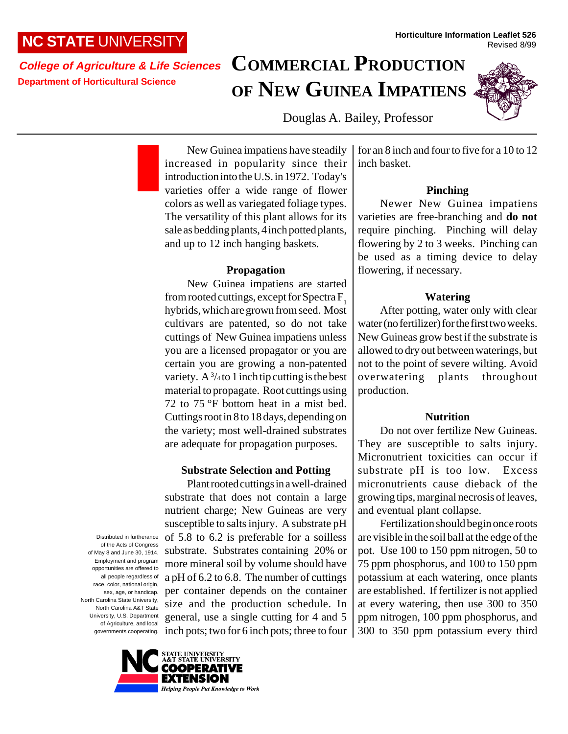# **NC STATE** UNIVERSITY

**College of Agriculture & Life Sciences Department of Horticultural Science**

# **COMMERCIAL PRODUCTION OF NEW GUINEA IMPATIENS**



Revised 8/99

Douglas A. Bailey, Professor

New Guinea impatiens have steadily increased in popularity since their introduction into the U.S. in 1972. Today's varieties offer a wide range of flower colors as well as variegated foliage types. The versatility of this plant allows for its sale as bedding plants, 4 inch potted plants, and up to 12 inch hanging baskets.

# **Propagation**

New Guinea impatiens are started from rooted cuttings, except for Spectra F<sub>1</sub> hybrids, which are grown from seed. Most cultivars are patented, so do not take cuttings of New Guinea impatiens unless you are a licensed propagator or you are certain you are growing a non-patented variety. A  $\frac{3}{4}$  to 1 inch tip cutting is the best material to propagate. Root cuttings using 72 to 75 °F bottom heat in a mist bed. Cuttings root in 8 to 18 days, depending on the variety; most well-drained substrates are adequate for propagation purposes.

# **Substrate Selection and Potting**

Plant rooted cuttings in a well-drained substrate that does not contain a large nutrient charge; New Guineas are very susceptible to salts injury. A substrate pH of 5.8 to 6.2 is preferable for a soilless substrate. Substrates containing 20% or more mineral soil by volume should have a pH of 6.2 to 6.8. The number of cuttings per container depends on the container size and the production schedule. In general, use a single cutting for 4 and 5 inch pots; two for 6 inch pots; three to four

race, color, national origin, sex, age, or handicap. North Carolina State University, North Carolina A&T State University, U.S. Department of Agriculture, and local governments cooperating.



Distributed in furtherance of the Acts of Congress of May 8 and June 30, 1914. Employment and program opportunities are offered to all people regardless of

for an 8 inch and four to five for a 10 to 12 inch basket.

**Horticulture Information Leaflet 526**

# **Pinching**

Newer New Guinea impatiens varieties are free-branching and **do not** require pinching. Pinching will delay flowering by 2 to 3 weeks. Pinching can be used as a timing device to delay flowering, if necessary.

# **Watering**

After potting, water only with clear water (no fertilizer) for the first two weeks. New Guineas grow best if the substrate is allowed to dry out between waterings, but not to the point of severe wilting. Avoid overwatering plants throughout production.

# **Nutrition**

Do not over fertilize New Guineas. They are susceptible to salts injury. Micronutrient toxicities can occur if substrate pH is too low. Excess micronutrients cause dieback of the growing tips, marginal necrosis of leaves, and eventual plant collapse.

Fertilization should begin once roots are visible in the soil ball at the edge of the pot. Use 100 to 150 ppm nitrogen, 50 to 75 ppm phosphorus, and 100 to 150 ppm potassium at each watering, once plants are established. If fertilizer is not applied at every watering, then use 300 to 350 ppm nitrogen, 100 ppm phosphorus, and 300 to 350 ppm potassium every third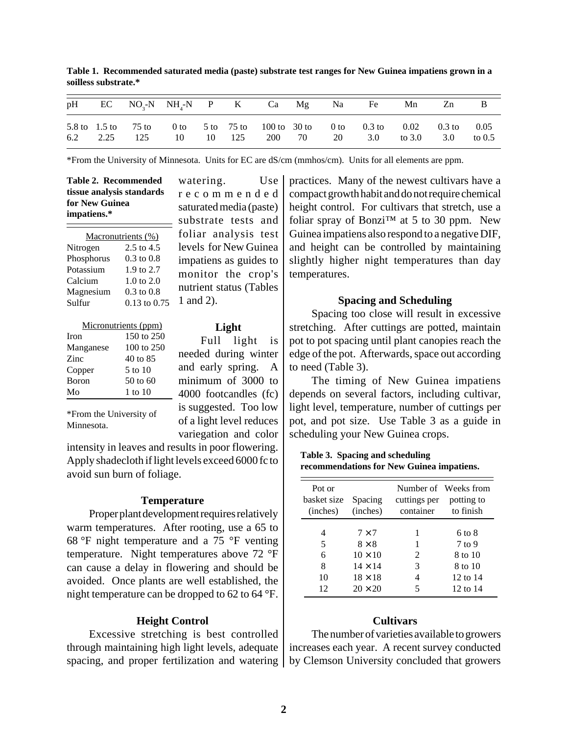|  |  |  |  | pH EC NO <sub>3</sub> -N NH <sub>4</sub> -N P K Ca Mg Na Fe Mn Zn B                                                                     |  |  |
|--|--|--|--|-----------------------------------------------------------------------------------------------------------------------------------------|--|--|
|  |  |  |  | 5.8 to 1.5 to 75 to 0 to 5 to 75 to 100 to 30 to 0 to 0.3 to 0.02 0.3 to 0.05<br>6.2 2.25 125 10 10 125 200 70 20 3.0 to 3.0 5.0 to 0.5 |  |  |

**Table 1. Recommended saturated media (paste) substrate test ranges for New Guinea impatiens grown in a soilless substrate.\***

\*From the University of Minnesota. Units for EC are dS/cm (mmhos/cm). Units for all elements are ppm.

| Table 2. Recommended      |  |
|---------------------------|--|
| tissue analysis standards |  |
| for New Guinea            |  |
| impatiens.*               |  |

|            | Macronutrients (%)    |
|------------|-----------------------|
| Nitrogen   | 2.5 to 4.5            |
| Phosphorus | $0.3$ to $0.8$        |
| Potassium  | 1.9 to 2.7            |
| Calcium    | $1.0 \text{ to } 2.0$ |
| Magnesium  | $0.3$ to $0.8$        |
| Sulfur     | 0.13 to 0.75          |

| Micronutrients (ppm) |              |  |  |  |  |  |
|----------------------|--------------|--|--|--|--|--|
| <b>Iron</b>          | 150 to 250   |  |  |  |  |  |
| Manganese            | 100 to $250$ |  |  |  |  |  |
| <b>Zinc</b>          | 40 to 85     |  |  |  |  |  |
| Copper               | 5 to 10      |  |  |  |  |  |
| <b>B</b> oron        | $50$ to 60   |  |  |  |  |  |
| Mo                   | 1 to $10$    |  |  |  |  |  |

watering. Use recommended saturated media (paste) substrate tests and foliar analysis test levels for New Guinea impatiens as guides to monitor the crop's nutrient status (Tables 1 and 2).

#### **Light**

Full light is needed during winter and early spring. A minimum of 3000 to 4000 footcandles (fc) is suggested. Too low of a light level reduces variegation and color

\*From the University of Minnesota.

intensity in leaves and results in poor flowering. Apply shadecloth if light levels exceed 6000 fc to avoid sun burn of foliage.

#### **Temperature**

Proper plant development requires relatively warm temperatures. After rooting, use a 65 to 68 °F night temperature and a 75 °F venting temperature. Night temperatures above 72 °F can cause a delay in flowering and should be avoided. Once plants are well established, the night temperature can be dropped to 62 to 64 °F.

#### **Height Control**

Excessive stretching is best controlled through maintaining high light levels, adequate spacing, and proper fertilization and watering practices. Many of the newest cultivars have a compact growth habit and do not require chemical height control. For cultivars that stretch, use a foliar spray of Bonzi<sup>™</sup> at 5 to 30 ppm. New Guinea impatiens also respond to a negative DIF, and height can be controlled by maintaining slightly higher night temperatures than day temperatures.

# **Spacing and Scheduling**

Spacing too close will result in excessive stretching. After cuttings are potted, maintain pot to pot spacing until plant canopies reach the edge of the pot. Afterwards, space out according to need (Table 3).

The timing of New Guinea impatiens depends on several factors, including cultivar, light level, temperature, number of cuttings per pot, and pot size. Use Table 3 as a guide in scheduling your New Guinea crops.

**Table 3. Spacing and scheduling recommendations for New Guinea impatiens.**

| Pot or<br>basket size<br>(inches) | Spacing<br>(inches)                                                                                  | cuttings per potting to<br>container | Number of Weeks from<br>to finish                                |
|-----------------------------------|------------------------------------------------------------------------------------------------------|--------------------------------------|------------------------------------------------------------------|
| 4<br>5<br>6<br>8<br>10<br>12      | $7 \times 7$<br>$8 \times 8$<br>$10 \times 10$<br>$14 \times 14$<br>$18 \times 18$<br>$20 \times 20$ | 1<br>1<br>2<br>3<br>4<br>5           | 6 to 8<br>$7$ to 9<br>8 to 10<br>8 to 10<br>12 to 14<br>12 to 14 |

# **Cultivars**

The number of varieties available to growers increases each year. A recent survey conducted by Clemson University concluded that growers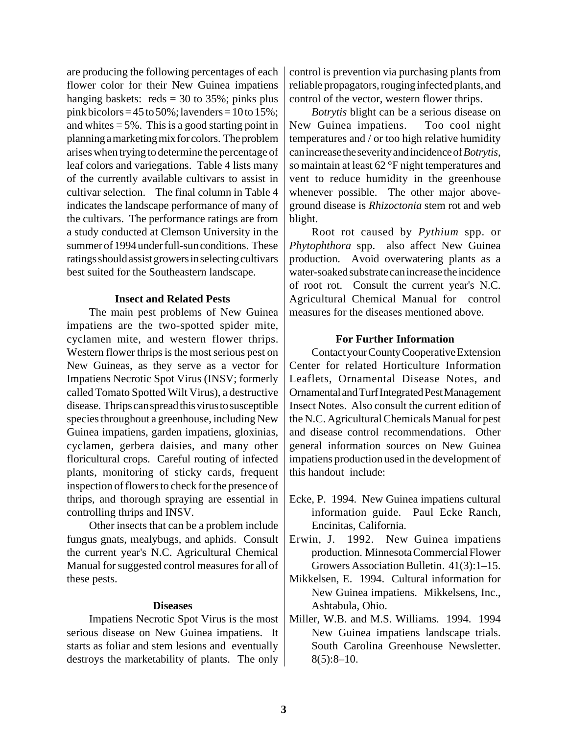are producing the following percentages of each flower color for their New Guinea impatiens hanging baskets:  $reds = 30$  to 35%; pinks plus pink bicolors =  $45$  to  $50\%$ ; lavenders =  $10$  to  $15\%$ ; and whites  $= 5\%$ . This is a good starting point in planning a marketing mix for colors. The problem arises when trying to determine the percentage of leaf colors and variegations. Table 4 lists many of the currently available cultivars to assist in cultivar selection. The final column in Table 4 indicates the landscape performance of many of the cultivars. The performance ratings are from a study conducted at Clemson University in the summer of 1994 under full-sun conditions. These ratings should assist growers in selecting cultivars best suited for the Southeastern landscape.

#### **Insect and Related Pests**

The main pest problems of New Guinea impatiens are the two-spotted spider mite, cyclamen mite, and western flower thrips. Western flower thrips is the most serious pest on New Guineas, as they serve as a vector for Impatiens Necrotic Spot Virus (INSV; formerly called Tomato Spotted Wilt Virus), a destructive disease. Thrips can spread this virus to susceptible species throughout a greenhouse, including New Guinea impatiens, garden impatiens, gloxinias, cyclamen, gerbera daisies, and many other floricultural crops. Careful routing of infected plants, monitoring of sticky cards, frequent inspection of flowers to check for the presence of thrips, and thorough spraying are essential in controlling thrips and INSV.

Other insects that can be a problem include fungus gnats, mealybugs, and aphids. Consult the current year's N.C. Agricultural Chemical Manual for suggested control measures for all of these pests.

#### **Diseases**

Impatiens Necrotic Spot Virus is the most serious disease on New Guinea impatiens. It starts as foliar and stem lesions and eventually destroys the marketability of plants. The only

control is prevention via purchasing plants from reliable propagators, rouging infected plants, and control of the vector, western flower thrips.

*Botrytis* blight can be a serious disease on New Guinea impatiens. Too cool night temperatures and / or too high relative humidity can increase the severity and incidence of *Botrytis*, so maintain at least 62 °F night temperatures and vent to reduce humidity in the greenhouse whenever possible. The other major aboveground disease is *Rhizoctonia* stem rot and web blight.

Root rot caused by *Pythium* spp. or *Phytophthora* spp. also affect New Guinea production. Avoid overwatering plants as a water-soaked substrate can increase the incidence of root rot. Consult the current year's N.C. Agricultural Chemical Manual for control measures for the diseases mentioned above.

#### **For Further Information**

Contact your County Cooperative Extension Center for related Horticulture Information Leaflets, Ornamental Disease Notes, and Ornamental and Turf Integrated Pest Management Insect Notes. Also consult the current edition of the N.C. Agricultural Chemicals Manual for pest and disease control recommendations. Other general information sources on New Guinea impatiens production used in the development of this handout include:

- Ecke, P. 1994. New Guinea impatiens cultural information guide. Paul Ecke Ranch, Encinitas, California.
- Erwin, J. 1992. New Guinea impatiens production. Minnesota Commercial Flower Growers Association Bulletin. 41(3):1–15.
- Mikkelsen, E. 1994. Cultural information for New Guinea impatiens. Mikkelsens, Inc., Ashtabula, Ohio.
- Miller, W.B. and M.S. Williams. 1994. 1994 New Guinea impatiens landscape trials. South Carolina Greenhouse Newsletter.  $8(5):8-10.$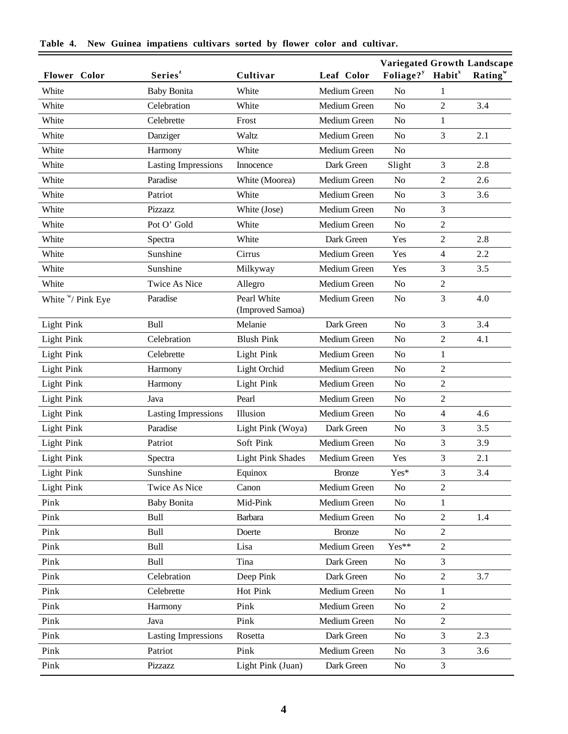| Flower Color       | Series <sup>z</sup>        | Cultivar                        | Leaf Color    | Variegated Growth Landscape<br>Foliage? <sup>y</sup> | <b>Habit</b> <sup>x</sup> | Rating <sup>w</sup> |
|--------------------|----------------------------|---------------------------------|---------------|------------------------------------------------------|---------------------------|---------------------|
| White              | <b>Baby Bonita</b>         | White                           | Medium Green  | N <sub>o</sub>                                       | 1                         |                     |
| White              | Celebration                | White                           | Medium Green  | N <sub>o</sub>                                       | $\overline{2}$            | 3.4                 |
| White              | Celebrette                 | Frost                           | Medium Green  | N <sub>o</sub>                                       | $\mathbf{1}$              |                     |
| White              | Danziger                   | Waltz                           | Medium Green  | N <sub>o</sub>                                       | 3                         | 2.1                 |
| White              | Harmony                    | White                           | Medium Green  | N <sub>o</sub>                                       |                           |                     |
| White              | <b>Lasting Impressions</b> | Innocence                       | Dark Green    | Slight                                               | 3                         | 2.8                 |
| White              | Paradise                   | White (Moorea)                  | Medium Green  | No                                                   | $\overline{2}$            | 2.6                 |
| White              | Patriot                    | White                           | Medium Green  | N <sub>o</sub>                                       | $\overline{3}$            | 3.6                 |
| White              | Pizzazz                    | White (Jose)                    | Medium Green  | N <sub>o</sub>                                       | 3                         |                     |
| White              | Pot O' Gold                | White                           | Medium Green  | N <sub>o</sub>                                       | $\overline{2}$            |                     |
| White              | Spectra                    | White                           | Dark Green    | Yes                                                  | $\overline{2}$            | 2.8                 |
| White              | Sunshine                   | Cirrus                          | Medium Green  | Yes                                                  | 4                         | 2.2                 |
| White              | Sunshine                   | Milkyway                        | Medium Green  | Yes                                                  | 3                         | 3.5                 |
| White              | <b>Twice As Nice</b>       | Allegro                         | Medium Green  | N <sub>o</sub>                                       | $\overline{2}$            |                     |
| White $W$ Pink Eye | Paradise                   | Pearl White<br>(Improved Samoa) | Medium Green  | N <sub>o</sub>                                       | 3                         | 4.0                 |
| Light Pink         | Bull                       | Melanie                         | Dark Green    | N <sub>o</sub>                                       | 3                         | 3.4                 |
| Light Pink         | Celebration                | <b>Blush Pink</b>               | Medium Green  | N <sub>o</sub>                                       | $\overline{2}$            | 4.1                 |
| Light Pink         | Celebrette                 | Light Pink                      | Medium Green  | N <sub>o</sub>                                       | $\mathbf{1}$              |                     |
| Light Pink         | Harmony                    | Light Orchid                    | Medium Green  | N <sub>o</sub>                                       | $\overline{2}$            |                     |
| Light Pink         | Harmony                    | Light Pink                      | Medium Green  | N <sub>o</sub>                                       | $\overline{2}$            |                     |
| Light Pink         | Java                       | Pearl                           | Medium Green  | N <sub>o</sub>                                       | $\overline{c}$            |                     |
| Light Pink         | <b>Lasting Impressions</b> | Illusion                        | Medium Green  | N <sub>o</sub>                                       | $\overline{\mathcal{L}}$  | 4.6                 |
| Light Pink         | Paradise                   | Light Pink (Woya)               | Dark Green    | N <sub>o</sub>                                       | $\overline{3}$            | 3.5                 |
| Light Pink         | Patriot                    | Soft Pink                       | Medium Green  | N <sub>o</sub>                                       | 3                         | 3.9                 |
| <b>Light Pink</b>  | Spectra                    | <b>Light Pink Shades</b>        | Medium Green  | Yes                                                  | 3                         | 2.1                 |
| <b>Light Pink</b>  | Sunshine                   | Equinox                         | <b>Bronze</b> | Yes*                                                 | 3                         | 3.4                 |
| Light Pink         | Twice As Nice              | Canon                           | Medium Green  | N <sub>o</sub>                                       | $\overline{2}$            |                     |
| Pink               | <b>Baby Bonita</b>         | Mid-Pink                        | Medium Green  | N <sub>o</sub>                                       | 1                         |                     |
| Pink               | Bull                       | <b>Barbara</b>                  | Medium Green  | No                                                   | $\overline{2}$            | 1.4                 |
| Pink               | Bull                       | Doerte                          | <b>Bronze</b> | No                                                   | $\mathbf{2}$              |                     |
| Pink               | Bull                       | Lisa                            | Medium Green  | Yes**                                                | $\overline{2}$            |                     |
| Pink               | Bull                       | Tina                            | Dark Green    | No                                                   | $\mathfrak{Z}$            |                     |
| Pink               | Celebration                | Deep Pink                       | Dark Green    | N <sub>o</sub>                                       | $\mathbf{2}$              | 3.7                 |
| Pink               | Celebrette                 | Hot Pink                        | Medium Green  | N <sub>o</sub>                                       | 1                         |                     |
| Pink               | Harmony                    | Pink                            | Medium Green  | No                                                   | $\overline{2}$            |                     |
| Pink               | Java                       | Pink                            | Medium Green  | N <sub>o</sub>                                       | $\mathbf{2}$              |                     |
| Pink               | <b>Lasting Impressions</b> | Rosetta                         | Dark Green    | N <sub>o</sub>                                       | $\mathfrak{Z}$            | 2.3                 |
| Pink               | Patriot                    | Pink                            | Medium Green  | No                                                   | $\mathfrak{Z}$            | 3.6                 |
| Pink               | Pizzazz                    | Light Pink (Juan)               | Dark Green    | No                                                   | $\mathfrak{Z}$            |                     |

|  |  |  | Table 4. New Guinea impatiens cultivars sorted by flower color and cultivar. |  |  |  |  |  |  |  |
|--|--|--|------------------------------------------------------------------------------|--|--|--|--|--|--|--|
|--|--|--|------------------------------------------------------------------------------|--|--|--|--|--|--|--|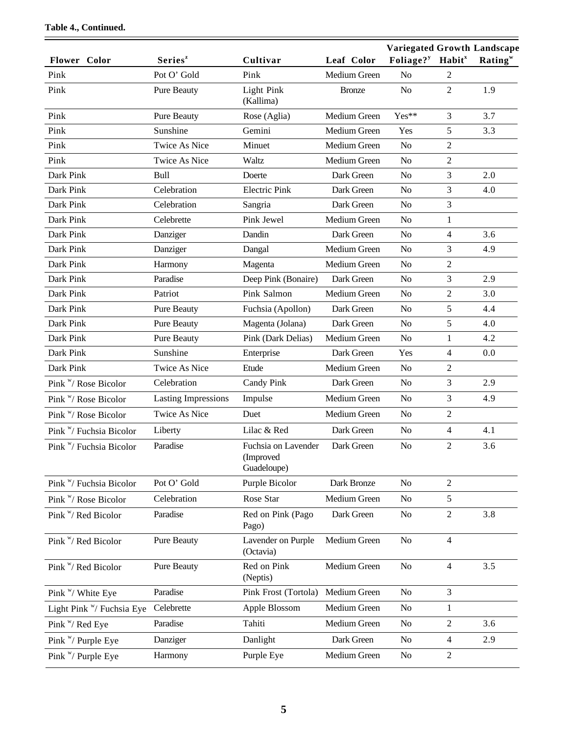| <b>Flower</b> Color                | Series <sup>z</sup>        | Cultivar                                        | Leaf Color    | <b>Variegated Growth Landscape</b><br>Foliage? <sup>y</sup> Habit <sup>x</sup> |                | Rating <sup>w</sup> |
|------------------------------------|----------------------------|-------------------------------------------------|---------------|--------------------------------------------------------------------------------|----------------|---------------------|
| Pink                               | Pot O' Gold                | Pink                                            | Medium Green  | N <sub>o</sub>                                                                 | 2              |                     |
| Pink                               | Pure Beauty                | <b>Light Pink</b><br>(Kallima)                  | <b>Bronze</b> | N <sub>o</sub>                                                                 | 2              | 1.9                 |
| Pink                               | <b>Pure Beauty</b>         | Rose (Aglia)                                    | Medium Green  | Yes**                                                                          | 3              | 3.7                 |
| Pink                               | Sunshine                   | Gemini                                          | Medium Green  | Yes                                                                            | 5              | 3.3                 |
| Pink                               | <b>Twice As Nice</b>       | Minuet                                          | Medium Green  | N <sub>o</sub>                                                                 | 2              |                     |
| Pink                               | <b>Twice As Nice</b>       | Waltz                                           | Medium Green  | N <sub>o</sub>                                                                 | $\overline{2}$ |                     |
| Dark Pink                          | <b>Bull</b>                | Doerte                                          | Dark Green    | N <sub>o</sub>                                                                 | 3              | 2.0                 |
| Dark Pink                          | Celebration                | <b>Electric Pink</b>                            | Dark Green    | N <sub>o</sub>                                                                 | 3              | 4.0                 |
| Dark Pink                          | Celebration                | Sangria                                         | Dark Green    | N <sub>o</sub>                                                                 | 3              |                     |
| Dark Pink                          | Celebrette                 | Pink Jewel                                      | Medium Green  | N <sub>o</sub>                                                                 | $\mathbf{1}$   |                     |
| Dark Pink                          | Danziger                   | Dandin                                          | Dark Green    | N <sub>o</sub>                                                                 | 4              | 3.6                 |
| Dark Pink                          | Danziger                   | Dangal                                          | Medium Green  | N <sub>o</sub>                                                                 | 3              | 4.9                 |
| Dark Pink                          | Harmony                    | Magenta                                         | Medium Green  | N <sub>o</sub>                                                                 | $\overline{2}$ |                     |
| Dark Pink                          | Paradise                   | Deep Pink (Bonaire)                             | Dark Green    | N <sub>o</sub>                                                                 | 3              | 2.9                 |
| Dark Pink                          | Patriot                    | Pink Salmon                                     | Medium Green  | N <sub>o</sub>                                                                 | $\overline{2}$ | 3.0                 |
| Dark Pink                          | Pure Beauty                | Fuchsia (Apollon)                               | Dark Green    | N <sub>o</sub>                                                                 | 5              | 4.4                 |
| Dark Pink                          | <b>Pure Beauty</b>         | Magenta (Jolana)                                | Dark Green    | N <sub>o</sub>                                                                 | 5              | 4.0                 |
| Dark Pink                          | Pure Beauty                | Pink (Dark Delias)                              | Medium Green  | N <sub>o</sub>                                                                 | 1              | 4.2                 |
| Dark Pink                          | Sunshine                   | Enterprise                                      | Dark Green    | Yes                                                                            | 4              | 0.0                 |
| Dark Pink                          | <b>Twice As Nice</b>       | Etude                                           | Medium Green  | N <sub>o</sub>                                                                 | 2              |                     |
| Pink "/ Rose Bicolor               | Celebration                | Candy Pink                                      | Dark Green    | N <sub>o</sub>                                                                 | 3              | 2.9                 |
| Pink "/ Rose Bicolor               | <b>Lasting Impressions</b> | Impulse                                         | Medium Green  | N <sub>o</sub>                                                                 | 3              | 4.9                 |
| Pink $W$ / Rose Bicolor            | <b>Twice As Nice</b>       | Duet                                            | Medium Green  | N <sub>o</sub>                                                                 | $\overline{2}$ |                     |
| Pink "/ Fuchsia Bicolor            | Liberty                    | Lilac & Red                                     | Dark Green    | N <sub>o</sub>                                                                 | $\overline{4}$ | 4.1                 |
| Pink "/ Fuchsia Bicolor            | Paradise                   | Fuchsia on Lavender<br>(Improved<br>Guadeloupe) | Dark Green    | N <sub>o</sub>                                                                 | 2              | 3.6                 |
| Pink <sup>w</sup> /Fuchsia Bicolor | Pot O' Gold                | Purple Bicolor                                  | Dark Bronze   | N <sub>o</sub>                                                                 | $\overline{2}$ |                     |
| Pink "/ Rose Bicolor               | Celebration                | Rose Star                                       | Medium Green  | No                                                                             | 5              |                     |
| Pink "/ Red Bicolor                | Paradise                   | Red on Pink (Pago<br>Pago)                      | Dark Green    | N <sub>o</sub>                                                                 | $\overline{2}$ | 3.8                 |
| Pink W/ Red Bicolor                | Pure Beauty                | Lavender on Purple<br>(Octavia)                 | Medium Green  | N <sub>o</sub>                                                                 | $\overline{4}$ |                     |
| Pink W/ Red Bicolor                | Pure Beauty                | Red on Pink<br>(Neptis)                         | Medium Green  | N <sub>o</sub>                                                                 | $\overline{4}$ | 3.5                 |
| Pink "/ White Eye                  | Paradise                   | Pink Frost (Tortola)                            | Medium Green  | N <sub>o</sub>                                                                 | 3              |                     |
| Light Pink W/ Fuchsia Eye          | Celebrette                 | Apple Blossom                                   | Medium Green  | N <sub>o</sub>                                                                 | 1              |                     |
| Pink "/ Red Eye                    | Paradise                   | Tahiti                                          | Medium Green  | No                                                                             | 2              | 3.6                 |
| Pink "/ Purple Eye                 | Danziger                   | Danlight                                        | Dark Green    | N <sub>o</sub>                                                                 | 4              | 2.9                 |
| Pink "/ Purple Eye                 | Harmony                    | Purple Eye                                      | Medium Green  | N <sub>0</sub>                                                                 | 2              |                     |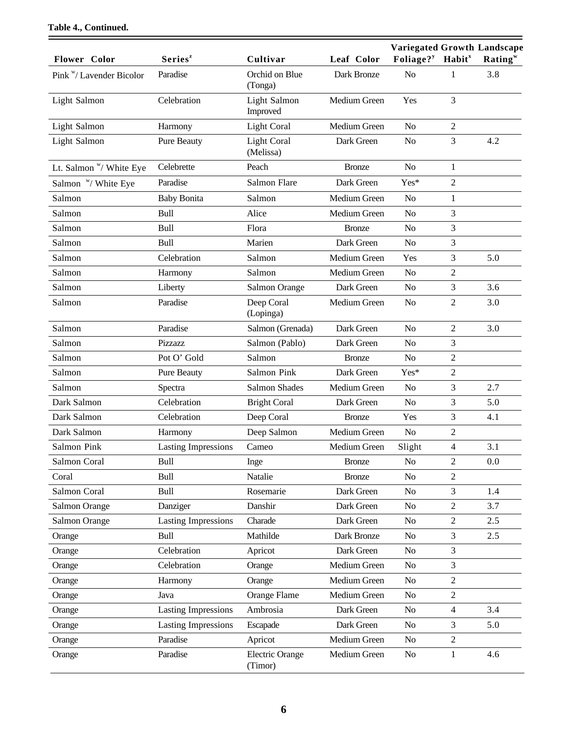|                                 |                            |                                   |               | Variegated Growth Landscape              |                |                     |
|---------------------------------|----------------------------|-----------------------------------|---------------|------------------------------------------|----------------|---------------------|
| Flower Color                    | Series <sup>z</sup>        | Cultivar                          | Leaf Color    | Foliage? <sup>y</sup> Habit <sup>x</sup> |                | Rating <sup>w</sup> |
| Pink "/ Lavender Bicolor        | Paradise                   | Orchid on Blue<br>(Tonga)         | Dark Bronze   | N <sub>o</sub>                           | 1              | 3.8                 |
| Light Salmon                    | Celebration                | Light Salmon<br>Improved          | Medium Green  | Yes                                      | 3              |                     |
| Light Salmon                    | Harmony                    | <b>Light Coral</b>                | Medium Green  | N <sub>o</sub>                           | $\mathfrak{2}$ |                     |
| Light Salmon                    | Pure Beauty                | <b>Light Coral</b><br>(Melissa)   | Dark Green    | N <sub>o</sub>                           | 3              | 4.2                 |
| Lt. Salmon W White Eye          | Celebrette                 | Peach                             | <b>Bronze</b> | N <sub>o</sub>                           | 1              |                     |
| Salmon <sup>w</sup> / White Eye | Paradise                   | Salmon Flare                      | Dark Green    | Yes*                                     | $\overline{2}$ |                     |
| Salmon                          | <b>Baby Bonita</b>         | Salmon                            | Medium Green  | N <sub>o</sub>                           | $\mathbf{1}$   |                     |
| Salmon                          | Bull                       | Alice                             | Medium Green  | N <sub>o</sub>                           | 3              |                     |
| Salmon                          | <b>Bull</b>                | Flora                             | <b>Bronze</b> | N <sub>o</sub>                           | 3              |                     |
| Salmon                          | <b>Bull</b>                | Marien                            | Dark Green    | N <sub>o</sub>                           | 3              |                     |
| Salmon                          | Celebration                | Salmon                            | Medium Green  | Yes                                      | 3              | 5.0                 |
| Salmon                          | Harmony                    | Salmon                            | Medium Green  | N <sub>o</sub>                           | $\overline{2}$ |                     |
| Salmon                          | Liberty                    | Salmon Orange                     | Dark Green    | N <sub>o</sub>                           | 3              | 3.6                 |
| Salmon                          | Paradise                   | Deep Coral<br>(Lopinga)           | Medium Green  | N <sub>o</sub>                           | $\mathfrak{2}$ | 3.0                 |
| Salmon                          | Paradise                   | Salmon (Grenada)                  | Dark Green    | N <sub>o</sub>                           | $\overline{2}$ | 3.0                 |
| Salmon                          | Pizzazz                    | Salmon (Pablo)                    | Dark Green    | N <sub>o</sub>                           | 3              |                     |
| Salmon                          | Pot O' Gold                | Salmon                            | <b>Bronze</b> | N <sub>o</sub>                           | $\overline{2}$ |                     |
| Salmon                          | Pure Beauty                | Salmon Pink                       | Dark Green    | Yes*                                     | $\overline{2}$ |                     |
| Salmon                          | Spectra                    | <b>Salmon Shades</b>              | Medium Green  | N <sub>o</sub>                           | 3              | 2.7                 |
| Dark Salmon                     | Celebration                | <b>Bright Coral</b>               | Dark Green    | N <sub>o</sub>                           | 3              | 5.0                 |
| Dark Salmon                     | Celebration                | Deep Coral                        | <b>Bronze</b> | Yes                                      | 3              | 4.1                 |
| Dark Salmon                     | Harmony                    | Deep Salmon                       | Medium Green  | N <sub>o</sub>                           | $\mathfrak{2}$ |                     |
| Salmon Pink                     | <b>Lasting Impressions</b> | Cameo                             | Medium Green  | Slight                                   | 4              | 3.1                 |
| Salmon Coral                    | Bull                       | Inge                              | <b>Bronze</b> | N <sub>o</sub>                           | $\overline{2}$ | 0.0                 |
| Coral                           | Bull                       | Natalie                           | <b>Bronze</b> | N <sub>o</sub>                           | $\mathfrak{2}$ |                     |
| Salmon Coral                    | Bull                       | Rosemarie                         | Dark Green    | N <sub>o</sub>                           | 3              | 1.4                 |
| Salmon Orange                   | Danziger                   | Danshir                           | Dark Green    | N <sub>o</sub>                           | $\overline{2}$ | 3.7                 |
| Salmon Orange                   | <b>Lasting Impressions</b> | Charade                           | Dark Green    | N <sub>o</sub>                           | $\mathfrak{2}$ | 2.5                 |
| Orange                          | Bull                       | Mathilde                          | Dark Bronze   | N <sub>o</sub>                           | 3              | 2.5                 |
| Orange                          | Celebration                | Apricot                           | Dark Green    | N <sub>o</sub>                           | 3              |                     |
| Orange                          | Celebration                | Orange                            | Medium Green  | N <sub>o</sub>                           | 3              |                     |
| Orange                          | Harmony                    | Orange                            | Medium Green  | N <sub>o</sub>                           | $\overline{2}$ |                     |
| Orange                          | Java                       | Orange Flame                      | Medium Green  | N <sub>o</sub>                           | $\overline{2}$ |                     |
| Orange                          | <b>Lasting Impressions</b> | Ambrosia                          | Dark Green    | N <sub>o</sub>                           | $\overline{4}$ | 3.4                 |
| Orange                          | <b>Lasting Impressions</b> | Escapade                          | Dark Green    | N <sub>o</sub>                           | 3              | 5.0                 |
| Orange                          | Paradise                   | Apricot                           | Medium Green  | N <sub>o</sub>                           | 2              |                     |
| Orange                          | Paradise                   | <b>Electric Orange</b><br>(Timor) | Medium Green  | N <sub>o</sub>                           | $\mathbf{1}$   | 4.6                 |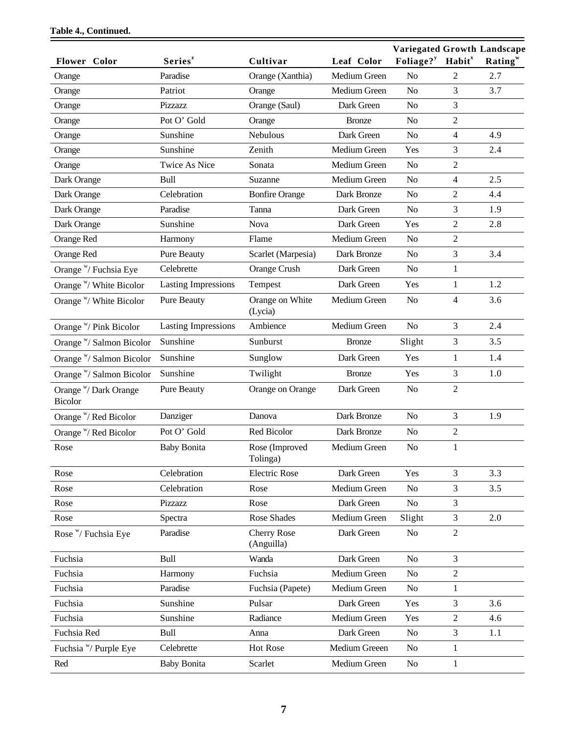|                                  |                            |                                  |               | <b>Variegated Growth Landscape</b> |                           |         |
|----------------------------------|----------------------------|----------------------------------|---------------|------------------------------------|---------------------------|---------|
| Flower Color                     | Series <sup>z</sup>        | Cultivar                         | Leaf Color    | Foliage? <sup>y</sup>              | <b>Habit</b> <sup>x</sup> | Rating" |
| Orange                           | Paradise                   | Orange (Xanthia)                 | Medium Green  | N <sub>o</sub>                     | 2                         | 2.7     |
| Orange                           | Patriot                    | Orange                           | Medium Green  | N <sub>o</sub>                     | 3                         | 3.7     |
| Orange                           | Pizzazz                    | Orange (Saul)                    | Dark Green    | N <sub>o</sub>                     | 3                         |         |
| Orange                           | Pot O' Gold                | Orange                           | <b>Bronze</b> | N <sub>o</sub>                     | $\overline{c}$            |         |
| Orange                           | Sunshine                   | Nebulous                         | Dark Green    | N <sub>o</sub>                     | $\overline{4}$            | 4.9     |
| Orange                           | Sunshine                   | Zenith                           | Medium Green  | Yes                                | 3                         | 2.4     |
| Orange                           | <b>Twice As Nice</b>       | Sonata                           | Medium Green  | N <sub>o</sub>                     | $\mathfrak{2}$            |         |
| Dark Orange                      | Bull                       | Suzanne                          | Medium Green  | N <sub>o</sub>                     | $\overline{4}$            | 2.5     |
| Dark Orange                      | Celebration                | <b>Bonfire Orange</b>            | Dark Bronze   | N <sub>o</sub>                     | $\mathfrak{2}$            | 4.4     |
| Dark Orange                      | Paradise                   | Tanna                            | Dark Green    | N <sub>o</sub>                     | 3                         | 1.9     |
| Dark Orange                      | Sunshine                   | Nova                             | Dark Green    | Yes                                | 2                         | 2.8     |
| Orange Red                       | Harmony                    | Flame                            | Medium Green  | N <sub>o</sub>                     | $\overline{2}$            |         |
| Orange Red                       | <b>Pure Beauty</b>         | Scarlet (Marpesia)               | Dark Bronze   | N <sub>o</sub>                     | 3                         | 3.4     |
| Orange "/ Fuchsia Eye            | Celebrette                 | Orange Crush                     | Dark Green    | No                                 | 1                         |         |
| Orange W/ White Bicolor          | <b>Lasting Impressions</b> | Tempest                          | Dark Green    | Yes                                | $\mathbf{1}$              | 1.2     |
| Orange W/ White Bicolor          | <b>Pure Beauty</b>         | Orange on White<br>(Lycia)       | Medium Green  | N <sub>o</sub>                     | $\overline{4}$            | 3.6     |
| Orange "/ Pink Bicolor           | <b>Lasting Impressions</b> | Ambience                         | Medium Green  | N <sub>o</sub>                     | 3                         | 2.4     |
| Orange W/ Salmon Bicolor         | Sunshine                   | Sunburst                         | <b>Bronze</b> | Slight                             | 3                         | 3.5     |
| Orange "/ Salmon Bicolor         | Sunshine                   | Sunglow                          | Dark Green    | Yes                                | 1                         | 1.4     |
| Orange W/ Salmon Bicolor         | Sunshine                   | Twilight                         | <b>Bronze</b> | Yes                                | 3                         | 1.0     |
| Orange "/ Dark Orange<br>Bicolor | <b>Pure Beauty</b>         | Orange on Orange                 | Dark Green    | N <sub>o</sub>                     | $\overline{2}$            |         |
| Orange W/ Red Bicolor            | Danziger                   | Danova                           | Dark Bronze   | N <sub>o</sub>                     | 3                         | 1.9     |
| Orange W/ Red Bicolor            | Pot O' Gold                | Red Bicolor                      | Dark Bronze   | N <sub>o</sub>                     | $\overline{c}$            |         |
| Rose                             | <b>Baby Bonita</b>         | Rose (Improved<br>Tolinga)       | Medium Green  | N <sub>o</sub>                     | $\mathbf{1}$              |         |
| Rose                             | Celebration                | <b>Electric Rose</b>             | Dark Green    | Yes                                | 3                         | 3.3     |
| Rose                             | Celebration                | Rose                             | Medium Green  | N <sub>o</sub>                     | 3                         | 3.5     |
| Rose                             | Pizzazz                    | Rose                             | Dark Green    | N <sub>o</sub>                     | 3                         |         |
| Rose                             | Spectra                    | Rose Shades                      | Medium Green  | Slight                             | 3                         | 2.0     |
| Rose "/ Fuchsia Eye              | Paradise                   | <b>Cherry Rose</b><br>(Anguilla) | Dark Green    | N <sub>o</sub>                     | $\overline{2}$            |         |
| Fuchsia                          | Bull                       | Wanda                            | Dark Green    | N <sub>o</sub>                     | $\overline{3}$            |         |
| Fuchsia                          | Harmony                    | Fuchsia                          | Medium Green  | N <sub>o</sub>                     | $\overline{2}$            |         |
| Fuchsia                          | Paradise                   | Fuchsia (Papete)                 | Medium Green  | N <sub>o</sub>                     | $\mathbf{1}$              |         |
| Fuchsia                          | Sunshine                   | Pulsar                           | Dark Green    | Yes                                | 3                         | 3.6     |
| Fuchsia                          | Sunshine                   | Radiance                         | Medium Green  | Yes                                | $\overline{2}$            | 4.6     |
| Fuchsia Red                      | Bull                       | Anna                             | Dark Green    | N <sub>o</sub>                     | $\mathfrak{Z}$            | 1.1     |
| Fuchsia "/ Purple Eye            | Celebrette                 | Hot Rose                         | Medium Greeen | N <sub>o</sub>                     | $\mathbf{1}$              |         |
| Red                              | <b>Baby Bonita</b>         | Scarlet                          | Medium Green  | N <sub>0</sub>                     | $\mathbf{1}$              |         |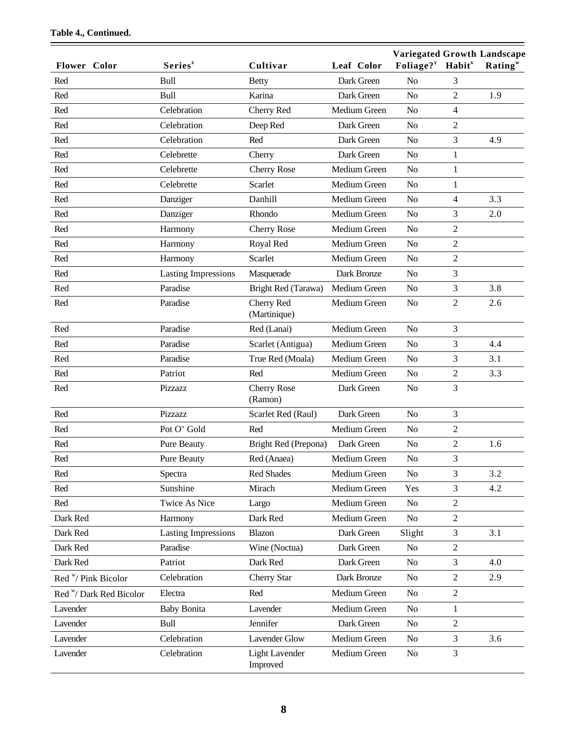| Flower Color                       | Series <sup>z</sup>        | Cultivar                          | Leaf Color   | Variegated Growth Landscape<br>Foliage? <sup>y</sup> | Habit <sup>x</sup> | Rating <sup>w</sup> |
|------------------------------------|----------------------------|-----------------------------------|--------------|------------------------------------------------------|--------------------|---------------------|
| Red                                | Bull                       | <b>Betty</b>                      | Dark Green   | N <sub>o</sub>                                       | 3                  |                     |
| Red                                | <b>Bull</b>                | Karina                            | Dark Green   | N <sub>o</sub>                                       | $\overline{2}$     | 1.9                 |
| Red                                | Celebration                | Cherry Red                        | Medium Green | N <sub>o</sub>                                       | $\overline{4}$     |                     |
| Red                                | Celebration                | Deep Red                          | Dark Green   | N <sub>o</sub>                                       | $\overline{2}$     |                     |
| Red                                | Celebration                | Red                               | Dark Green   | N <sub>o</sub>                                       | 3                  | 4.9                 |
| Red                                | Celebrette                 | Cherry                            | Dark Green   | N <sub>o</sub>                                       | $\mathbf{1}$       |                     |
| Red                                | Celebrette                 | <b>Cherry Rose</b>                | Medium Green | N <sub>o</sub>                                       | 1                  |                     |
| Red                                | Celebrette                 | Scarlet                           | Medium Green | N <sub>o</sub>                                       | 1                  |                     |
| Red                                | Danziger                   | Danhill                           | Medium Green | N <sub>o</sub>                                       | $\overline{4}$     | 3.3                 |
| Red                                | Danziger                   | Rhondo                            | Medium Green | N <sub>o</sub>                                       | 3                  | 2.0                 |
| Red                                | Harmony                    | <b>Cherry Rose</b>                | Medium Green | N <sub>o</sub>                                       | $\overline{2}$     |                     |
| Red                                | Harmony                    | Royal Red                         | Medium Green | N <sub>o</sub>                                       | $\sqrt{2}$         |                     |
| Red                                | Harmony                    | Scarlet                           | Medium Green | N <sub>o</sub>                                       | $\overline{2}$     |                     |
| Red                                | <b>Lasting Impressions</b> | Masquerade                        | Dark Bronze  | N <sub>o</sub>                                       | 3                  |                     |
| Red                                | Paradise                   | Bright Red (Tarawa)               | Medium Green | No                                                   | 3                  | 3.8                 |
| Red                                | Paradise                   | Cherry Red<br>(Martinique)        | Medium Green | N <sub>o</sub>                                       | $\overline{2}$     | 2.6                 |
| Red                                | Paradise                   | Red (Lanai)                       | Medium Green | N <sub>o</sub>                                       | 3                  |                     |
| Red                                | Paradise                   | Scarlet (Antigua)                 | Medium Green | N <sub>o</sub>                                       | $\mathfrak{Z}$     | 4.4                 |
| Red                                | Paradise                   | True Red (Moala)                  | Medium Green | N <sub>o</sub>                                       | 3                  | 3.1                 |
| Red                                | Patriot                    | Red                               | Medium Green | N <sub>o</sub>                                       | $\overline{2}$     | 3.3                 |
| Red                                | Pizzazz                    | <b>Cherry Rose</b><br>(Ramon)     | Dark Green   | N <sub>o</sub>                                       | $\mathfrak{Z}$     |                     |
| Red                                | Pizzazz                    | Scarlet Red (Raul)                | Dark Green   | N <sub>o</sub>                                       | $\overline{3}$     |                     |
| Red                                | Pot O' Gold                | Red                               | Medium Green | N <sub>o</sub>                                       | $\overline{2}$     |                     |
| Red                                | Pure Beauty                | Bright Red (Prepona)              | Dark Green   | N <sub>o</sub>                                       | $\mathbf{2}$       | 1.6                 |
| Red                                | Pure Beauty                | Red (Anaea)                       | Medium Green | N <sub>o</sub>                                       | 3                  |                     |
| Red                                | Spectra                    | <b>Red Shades</b>                 | Medium Green | No                                                   | 3                  | 3.2                 |
| Red                                | Sunshine                   | Mirach                            | Medium Green | Yes                                                  | 3                  | 4.2                 |
| Red                                | <b>Twice As Nice</b>       | Largo                             | Medium Green | N <sub>o</sub>                                       | $\overline{2}$     |                     |
| Dark Red                           | Harmony                    | Dark Red                          | Medium Green | No                                                   | 2                  |                     |
| Dark Red                           | <b>Lasting Impressions</b> | Blazon                            | Dark Green   | Slight                                               | 3                  | 3.1                 |
| Dark Red                           | Paradise                   | Wine (Noctua)                     | Dark Green   | No                                                   | $\overline{2}$     |                     |
| Dark Red                           | Patriot                    | Dark Red                          | Dark Green   | No                                                   | 3                  | 4.0                 |
| Red "/ Pink Bicolor                | Celebration                | Cherry Star                       | Dark Bronze  | No                                                   | $\sqrt{2}$         | 2.9                 |
| Red <sup>w</sup> /Dark Red Bicolor | Electra                    | Red                               | Medium Green | N <sub>o</sub>                                       | $\overline{2}$     |                     |
| Lavender                           | <b>Baby Bonita</b>         | Lavender                          | Medium Green | N <sub>o</sub>                                       | 1                  |                     |
| Lavender                           | Bull                       | Jennifer                          | Dark Green   | N <sub>o</sub>                                       | 2                  |                     |
| Lavender                           | Celebration                | <b>Lavender Glow</b>              | Medium Green | No                                                   | $\mathfrak{Z}$     | 3.6                 |
| Lavender                           | Celebration                | <b>Light Lavender</b><br>Improved | Medium Green | No                                                   | 3                  |                     |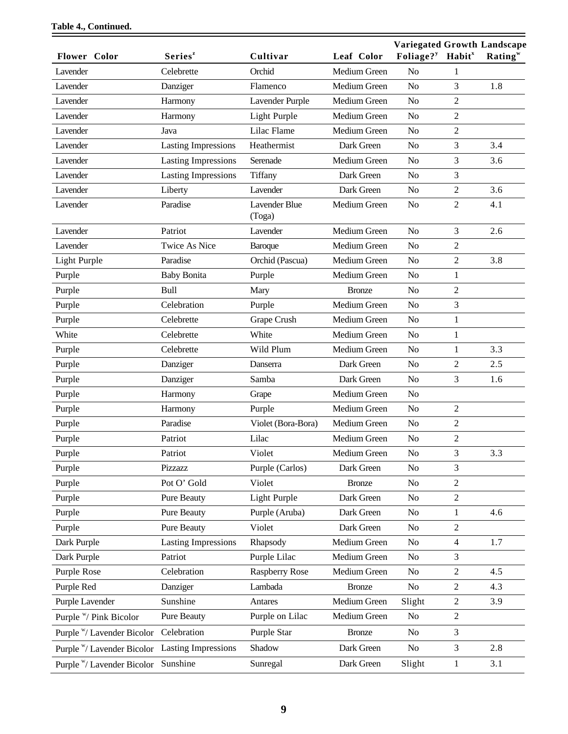|                            |                            |                                |               | <b>Variegated Growth Landscape</b>       |                |                     |
|----------------------------|----------------------------|--------------------------------|---------------|------------------------------------------|----------------|---------------------|
| <b>Flower Color</b>        | Series <sup>z</sup>        | Cultivar                       | Leaf Color    | Foliage? <sup>y</sup> Habit <sup>x</sup> |                | Rating <sup>w</sup> |
| Lavender                   | Celebrette                 | Orchid                         | Medium Green  | N <sub>o</sub>                           | 1              |                     |
| Lavender                   | Danziger                   | Flamenco                       | Medium Green  | N <sub>o</sub>                           | 3              | 1.8                 |
| Lavender                   | Harmony                    | Lavender Purple                | Medium Green  | N <sub>o</sub>                           | 2              |                     |
| Lavender                   | Harmony                    | Light Purple                   | Medium Green  | N <sub>o</sub>                           | $\overline{2}$ |                     |
| Lavender                   | Java                       | Lilac Flame                    | Medium Green  | N <sub>o</sub>                           | $\overline{2}$ |                     |
| Lavender                   | <b>Lasting Impressions</b> | Heathermist                    | Dark Green    | N <sub>o</sub>                           | 3              | 3.4                 |
| Lavender                   | <b>Lasting Impressions</b> | Serenade                       | Medium Green  | N <sub>o</sub>                           | 3              | 3.6                 |
| Lavender                   | <b>Lasting Impressions</b> | Tiffany                        | Dark Green    | N <sub>o</sub>                           | 3              |                     |
| Lavender                   | Liberty                    | Lavender                       | Dark Green    | N <sub>o</sub>                           | $\overline{2}$ | 3.6                 |
| Lavender                   | Paradise                   | <b>Lavender Blue</b><br>(Toga) | Medium Green  | N <sub>o</sub>                           | $\overline{c}$ | 4.1                 |
| Lavender                   | Patriot                    | Lavender                       | Medium Green  | N <sub>o</sub>                           | 3              | 2.6                 |
| Lavender                   | <b>Twice As Nice</b>       | Baroque                        | Medium Green  | N <sub>o</sub>                           | 2              |                     |
| Light Purple               | Paradise                   | Orchid (Pascua)                | Medium Green  | N <sub>o</sub>                           | $\overline{2}$ | 3.8                 |
| Purple                     | <b>Baby Bonita</b>         | Purple                         | Medium Green  | N <sub>o</sub>                           | 1              |                     |
| Purple                     | <b>Bull</b>                | Mary                           | <b>Bronze</b> | N <sub>o</sub>                           | 2              |                     |
| Purple                     | Celebration                | Purple                         | Medium Green  | N <sub>o</sub>                           | 3              |                     |
| Purple                     | Celebrette                 | Grape Crush                    | Medium Green  | N <sub>o</sub>                           | 1              |                     |
| White                      | Celebrette                 | White                          | Medium Green  | N <sub>o</sub>                           | $\mathbf{1}$   |                     |
| Purple                     | Celebrette                 | Wild Plum                      | Medium Green  | N <sub>o</sub>                           | 1              | 3.3                 |
| Purple                     | Danziger                   | Danserra                       | Dark Green    | N <sub>o</sub>                           | 2              | 2.5                 |
| Purple                     | Danziger                   | Samba                          | Dark Green    | N <sub>o</sub>                           | 3              | 1.6                 |
| Purple                     | Harmony                    | Grape                          | Medium Green  | N <sub>o</sub>                           |                |                     |
| Purple                     | Harmony                    | Purple                         | Medium Green  | N <sub>o</sub>                           | $\overline{2}$ |                     |
| Purple                     | Paradise                   | Violet (Bora-Bora)             | Medium Green  | N <sub>o</sub>                           | $\overline{2}$ |                     |
| Purple                     | Patriot                    | Lilac                          | Medium Green  | N <sub>o</sub>                           | $\overline{2}$ |                     |
| Purple                     | Patriot                    | Violet                         | Medium Green  | No                                       | 3              | 3.3                 |
| Purple                     | Pizzazz                    | Purple (Carlos)                | Dark Green    | N <sub>o</sub>                           | 3              |                     |
| Purple                     | Pot O' Gold                | Violet                         | <b>Bronze</b> | N <sub>o</sub>                           | 2              |                     |
| Purple                     | <b>Pure Beauty</b>         | Light Purple                   | Dark Green    | N <sub>o</sub>                           | $\overline{2}$ |                     |
| Purple                     | Pure Beauty                | Purple (Aruba)                 | Dark Green    | N <sub>o</sub>                           | 1              | 4.6                 |
| Purple                     | Pure Beauty                | Violet                         | Dark Green    | N <sub>0</sub>                           | $\overline{c}$ |                     |
| Dark Purple                | <b>Lasting Impressions</b> | Rhapsody                       | Medium Green  | N <sub>o</sub>                           | 4              | 1.7                 |
| Dark Purple                | Patriot                    | Purple Lilac                   | Medium Green  | N <sub>0</sub>                           | 3              |                     |
| Purple Rose                | Celebration                | <b>Raspberry Rose</b>          | Medium Green  | N <sub>o</sub>                           | $\overline{c}$ | 4.5                 |
| Purple Red                 | Danziger                   | Lambada                        | <b>Bronze</b> | N <sub>o</sub>                           | 2              | 4.3                 |
| Purple Lavender            | Sunshine                   | Antares                        | Medium Green  | Slight                                   | $\overline{c}$ | 3.9                 |
| Purple W/ Pink Bicolor     | Pure Beauty                | Purple on Lilac                | Medium Green  | No                                       | $\overline{2}$ |                     |
| Purple W Lavender Bicolor  | Celebration                | Purple Star                    | <b>Bronze</b> | N <sub>o</sub>                           | 3              |                     |
| Purple "/ Lavender Bicolor | <b>Lasting Impressions</b> | Shadow                         | Dark Green    | No                                       | 3              | 2.8                 |
| Purple W/ Lavender Bicolor | Sunshine                   | Sunregal                       | Dark Green    | Slight                                   | $\mathbf{1}$   | 3.1                 |